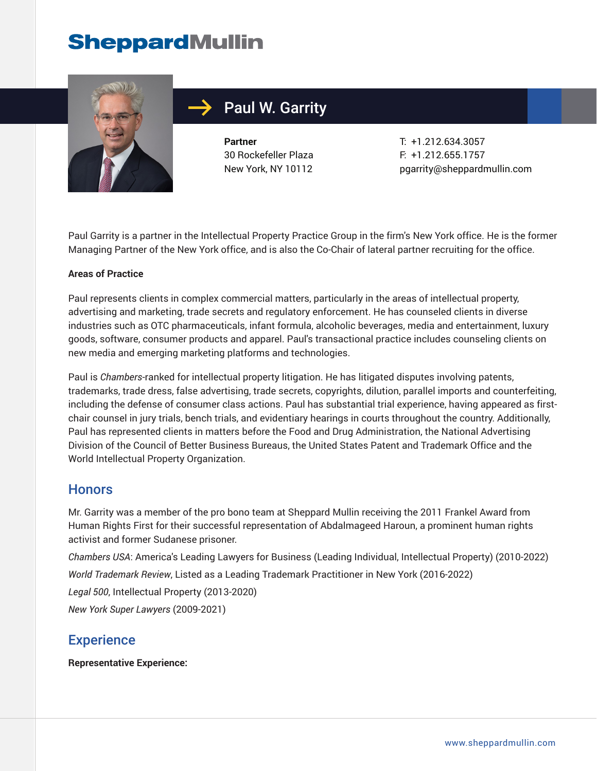

# Paul W. Garrity

**Partner** 30 Rockefeller Plaza New York, NY 10112

T: +1.212.634.3057 F: +1.212.655.1757 pgarrity@sheppardmullin.com

Paul Garrity is a partner in the Intellectual Property Practice Group in the firm's New York office. He is the former Managing Partner of the New York office, and is also the Co-Chair of lateral partner recruiting for the office.

#### **Areas of Practice**

Paul represents clients in complex commercial matters, particularly in the areas of intellectual property, advertising and marketing, trade secrets and regulatory enforcement. He has counseled clients in diverse industries such as OTC pharmaceuticals, infant formula, alcoholic beverages, media and entertainment, luxury goods, software, consumer products and apparel. Paul's transactional practice includes counseling clients on new media and emerging marketing platforms and technologies.

Paul is *Chambers*-ranked for intellectual property litigation. He has litigated disputes involving patents, trademarks, trade dress, false advertising, trade secrets, copyrights, dilution, parallel imports and counterfeiting, including the defense of consumer class actions. Paul has substantial trial experience, having appeared as firstchair counsel in jury trials, bench trials, and evidentiary hearings in courts throughout the country. Additionally, Paul has represented clients in matters before the Food and Drug Administration, the National Advertising Division of the Council of Better Business Bureaus, the United States Patent and Trademark Office and the World Intellectual Property Organization.

# **Honors**

Mr. Garrity was a member of the pro bono team at Sheppard Mullin receiving the 2011 Frankel Award from Human Rights First for their successful representation of Abdalmageed Haroun, a prominent human rights activist and former Sudanese prisoner.

*Chambers USA*: America's Leading Lawyers for Business (Leading Individual, Intellectual Property) (2010-2022) *World Trademark Review*, Listed as a Leading Trademark Practitioner in New York (2016-2022)

*Legal 500*, Intellectual Property (2013-2020)

*New York Super Lawyers* (2009-2021)

# **Experience**

**Representative Experience:**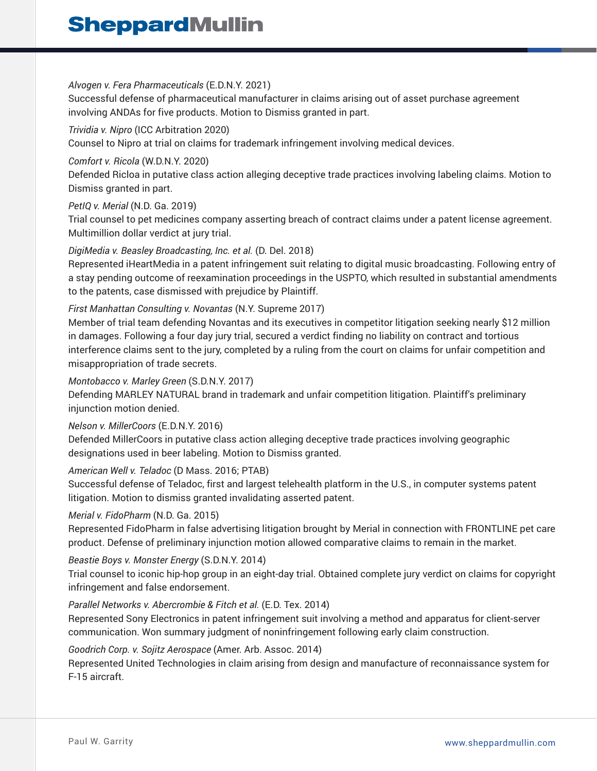### *Alvogen v. Fera Pharmaceuticals* (E.D.N.Y. 2021)

Successful defense of pharmaceutical manufacturer in claims arising out of asset purchase agreement involving ANDAs for five products. Motion to Dismiss granted in part.

### *Trividia v. Nipro* (ICC Arbitration 2020)

Counsel to Nipro at trial on claims for trademark infringement involving medical devices.

## *Comfort v. Ricola* (W.D.N.Y. 2020)

Defended Ricloa in putative class action alleging deceptive trade practices involving labeling claims. Motion to Dismiss granted in part.

# *PetIQ v. Merial* (N.D. Ga. 2019)

Trial counsel to pet medicines company asserting breach of contract claims under a patent license agreement. Multimillion dollar verdict at jury trial.

# *DigiMedia v. Beasley Broadcasting, Inc. et al.* (D. Del. 2018)

Represented iHeartMedia in a patent infringement suit relating to digital music broadcasting. Following entry of a stay pending outcome of reexamination proceedings in the USPTO, which resulted in substantial amendments to the patents, case dismissed with prejudice by Plaintiff.

# *First Manhattan Consulting v. Novantas* (N.Y. Supreme 2017)

Member of trial team defending Novantas and its executives in competitor litigation seeking nearly \$12 million in damages. Following a four day jury trial, secured a verdict finding no liability on contract and tortious interference claims sent to the jury, completed by a ruling from the court on claims for unfair competition and misappropriation of trade secrets.

### *Montobacco v. Marley Green* (S.D.N.Y. 2017)

Defending MARLEY NATURAL brand in trademark and unfair competition litigation. Plaintiff's preliminary injunction motion denied.

### *Nelson v. MillerCoors* (E.D.N.Y. 2016)

Defended MillerCoors in putative class action alleging deceptive trade practices involving geographic designations used in beer labeling. Motion to Dismiss granted.

### *American Well v. Teladoc* (D Mass. 2016; PTAB)

Successful defense of Teladoc, first and largest telehealth platform in the U.S., in computer systems patent litigation. Motion to dismiss granted invalidating asserted patent.

# *Merial v. FidoPharm* (N.D. Ga. 2015)

Represented FidoPharm in false advertising litigation brought by Merial in connection with FRONTLINE pet care product. Defense of preliminary injunction motion allowed comparative claims to remain in the market.

# *Beastie Boys v. Monster Energy* (S.D.N.Y. 2014)

Trial counsel to iconic hip-hop group in an eight-day trial. Obtained complete jury verdict on claims for copyright infringement and false endorsement.

# *Parallel Networks v. Abercrombie & Fitch et al.* (E.D. Tex. 2014)

Represented Sony Electronics in patent infringement suit involving a method and apparatus for client-server communication. Won summary judgment of noninfringement following early claim construction.

# *Goodrich Corp. v. Sojitz Aerospace* (Amer. Arb. Assoc. 2014)

Represented United Technologies in claim arising from design and manufacture of reconnaissance system for F-15 aircraft.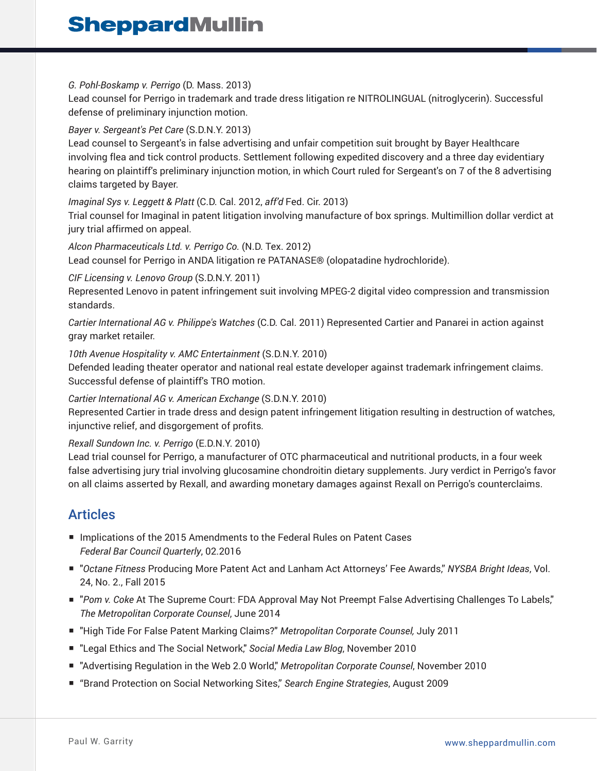#### *G. Pohl-Boskamp v. Perrigo* (D. Mass. 2013)

Lead counsel for Perrigo in trademark and trade dress litigation re NITROLINGUAL (nitroglycerin). Successful defense of preliminary injunction motion.

#### *Bayer v. Sergeant's Pet Care* (S.D.N.Y. 2013)

Lead counsel to Sergeant's in false advertising and unfair competition suit brought by Bayer Healthcare involving flea and tick control products. Settlement following expedited discovery and a three day evidentiary hearing on plaintiff's preliminary injunction motion, in which Court ruled for Sergeant's on 7 of the 8 advertising claims targeted by Bayer.

#### *Imaginal Sys v. Leggett & Platt* (C.D. Cal. 2012, *aff'd* Fed. Cir. 2013)

Trial counsel for Imaginal in patent litigation involving manufacture of box springs. Multimillion dollar verdict at jury trial affirmed on appeal.

#### *Alcon Pharmaceuticals Ltd. v. Perrigo Co.* (N.D. Tex. 2012) Lead counsel for Perrigo in ANDA litigation re PATANASE® (olopatadine hydrochloride).

#### *CIF Licensing v. Lenovo Group* (S.D.N.Y. 2011)

Represented Lenovo in patent infringement suit involving MPEG-2 digital video compression and transmission standards.

*Cartier International AG v. Philippe's Watches* (C.D. Cal. 2011) Represented Cartier and Panarei in action against gray market retailer.

#### *10th Avenue Hospitality v. AMC Entertainment* (S.D.N.Y. 2010)

Defended leading theater operator and national real estate developer against trademark infringement claims. Successful defense of plaintiff's TRO motion.

#### *Cartier International AG v. American Exchange* (S.D.N.Y. 2010)

Represented Cartier in trade dress and design patent infringement litigation resulting in destruction of watches, injunctive relief, and disgorgement of profits*.*

#### *Rexall Sundown Inc. v. Perrigo* (E.D.N.Y. 2010)

Lead trial counsel for Perrigo, a manufacturer of OTC pharmaceutical and nutritional products, in a four week false advertising jury trial involving glucosamine chondroitin dietary supplements. Jury verdict in Perrigo's favor on all claims asserted by Rexall, and awarding monetary damages against Rexall on Perrigo's counterclaims.

# Articles

- Implications of the 2015 Amendments to the Federal Rules on Patent Cases *Federal Bar Council Quarterly*, 02.2016
- "*Octane Fitness* Producing More Patent Act and Lanham Act Attorneys' Fee Awards," *NYSBA Bright Ideas*, Vol. 24, No. 2., Fall 2015
- "Pom v. Coke At The Supreme Court: FDA Approval May Not Preempt False Advertising Challenges To Labels," *The Metropolitan Corporate Counsel*, June 2014
- "High Tide For False Patent Marking Claims?" *Metropolitan Corporate Counsel,* July 2011
- "Legal Ethics and The Social Network," *Social Media Law Blog*, November 2010
- "Advertising Regulation in the Web 2.0 World," *Metropolitan Corporate Counsel*, November 2010
- "Brand Protection on Social Networking Sites," Search Engine Strategies, August 2009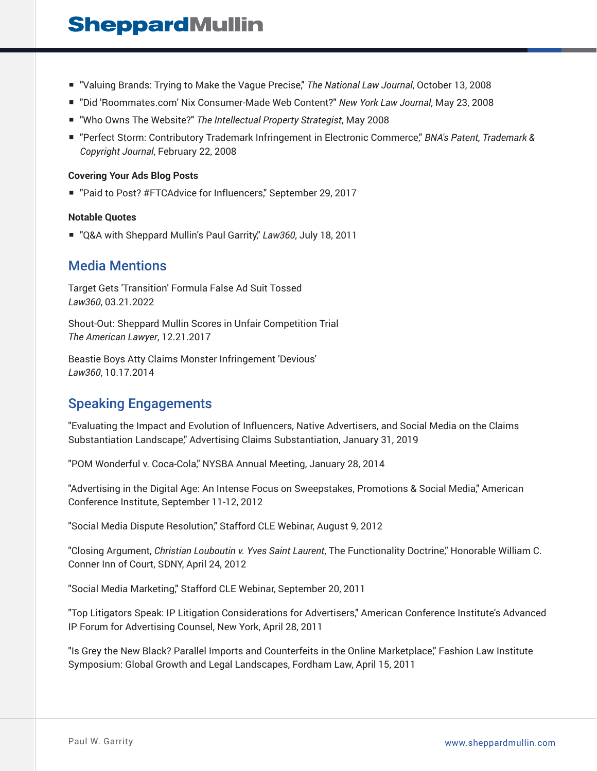- "Valuing Brands: Trying to Make the Vague Precise," The National Law Journal, October 13, 2008
- "Did 'Roommates.com' Nix Consumer-Made Web Content?" *New York Law Journal*, May 23, 2008
- "Who Owns The Website?" *The Intellectual Property Strategist*, May 2008
- "Perfect Storm: Contributory Trademark Infringement in Electronic Commerce," *BNA's Patent, Trademark & Copyright Journal*, February 22, 2008

#### **Covering Your Ads Blog Posts**

■ "Paid to Post? #FTCAdvice for Influencers," September 29, 2017

#### **Notable Quotes**

■ "Q&A with Sheppard Mullin's Paul Garrity," Law360, July 18, 2011

# Media Mentions

Target Gets 'Transition' Formula False Ad Suit Tossed *Law360*, 03.21.2022

Shout-Out: Sheppard Mullin Scores in Unfair Competition Trial *The American Lawyer*, 12.21.2017

Beastie Boys Atty Claims Monster Infringement 'Devious' *Law360*, 10.17.2014

# Speaking Engagements

"Evaluating the Impact and Evolution of Influencers, Native Advertisers, and Social Media on the Claims Substantiation Landscape," Advertising Claims Substantiation, January 31, 2019

"POM Wonderful v. Coca-Cola," NYSBA Annual Meeting, January 28, 2014

"Advertising in the Digital Age: An Intense Focus on Sweepstakes, Promotions & Social Media," American Conference Institute, September 11-12, 2012

"Social Media Dispute Resolution," Stafford CLE Webinar, August 9, 2012

"Closing Argument, *Christian Louboutin v. Yves Saint Laurent*, The Functionality Doctrine," Honorable William C. Conner Inn of Court, SDNY, April 24, 2012

"Social Media Marketing," Stafford CLE Webinar, September 20, 2011

"Top Litigators Speak: IP Litigation Considerations for Advertisers," American Conference Institute's Advanced IP Forum for Advertising Counsel, New York, April 28, 2011

"Is Grey the New Black? Parallel Imports and Counterfeits in the Online Marketplace," Fashion Law Institute Symposium: Global Growth and Legal Landscapes, Fordham Law, April 15, 2011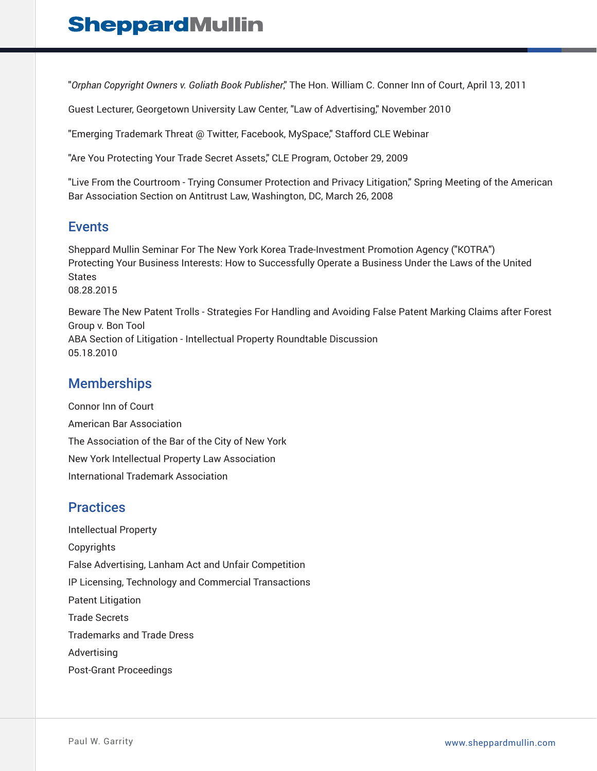"*Orphan Copyright Owners v. Goliath Book Publisher*," The Hon. William C. Conner Inn of Court, April 13, 2011

Guest Lecturer, Georgetown University Law Center, "Law of Advertising," November 2010

"Emerging Trademark Threat @ Twitter, Facebook, MySpace," Stafford CLE Webinar

"Are You Protecting Your Trade Secret Assets," CLE Program, October 29, 2009

"Live From the Courtroom - Trying Consumer Protection and Privacy Litigation," Spring Meeting of the American Bar Association Section on Antitrust Law, Washington, DC, March 26, 2008

# **Events**

Sheppard Mullin Seminar For The New York Korea Trade-Investment Promotion Agency ("KOTRA") Protecting Your Business Interests: How to Successfully Operate a Business Under the Laws of the United States 08.28.2015

Beware The New Patent Trolls - Strategies For Handling and Avoiding False Patent Marking Claims after Forest Group v. Bon Tool ABA Section of Litigation - Intellectual Property Roundtable Discussion 05.18.2010

# **Memberships**

Connor Inn of Court American Bar Association The Association of the Bar of the City of New York New York Intellectual Property Law Association International Trademark Association

# **Practices**

Intellectual Property Copyrights False Advertising, Lanham Act and Unfair Competition IP Licensing, Technology and Commercial Transactions Patent Litigation Trade Secrets Trademarks and Trade Dress Advertising Post-Grant Proceedings